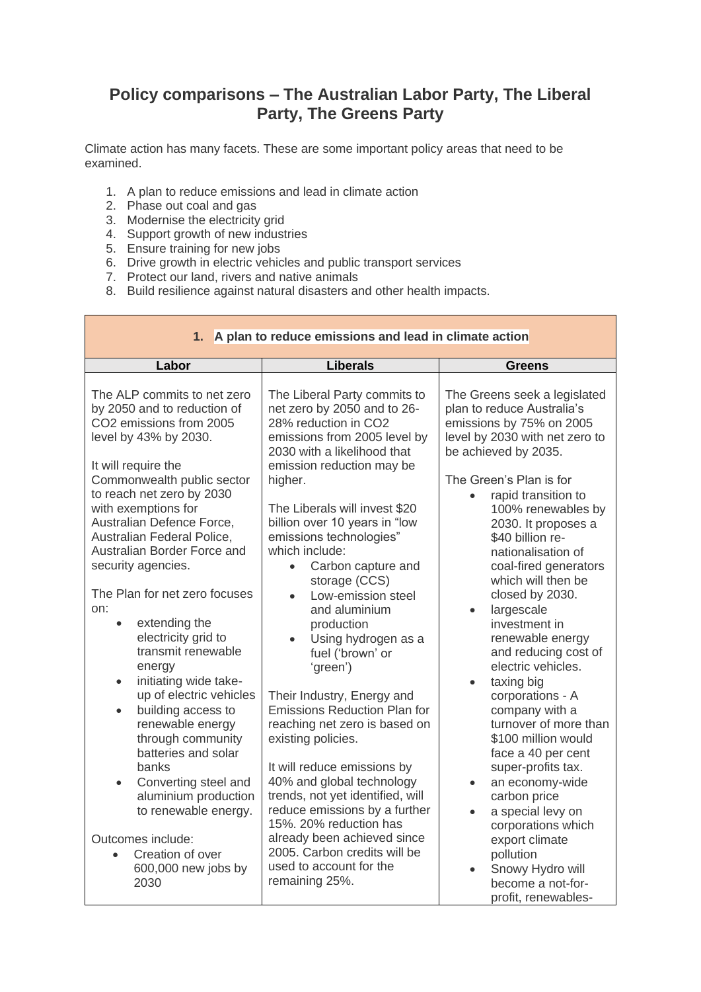## **Policy comparisons – The Australian Labor Party, The Liberal Party, The Greens Party**

Climate action has many facets. These are some important policy areas that need to be examined.

- 1. A plan to reduce emissions and lead in climate action
- 2. Phase out coal and gas
- 3. Modernise the electricity grid
- 4. Support growth of new industries
- 5. Ensure training for new jobs
- 6. Drive growth in electric vehicles and public transport services
- 7. Protect our land, rivers and native animals
- 8. Build resilience against natural disasters and other health impacts.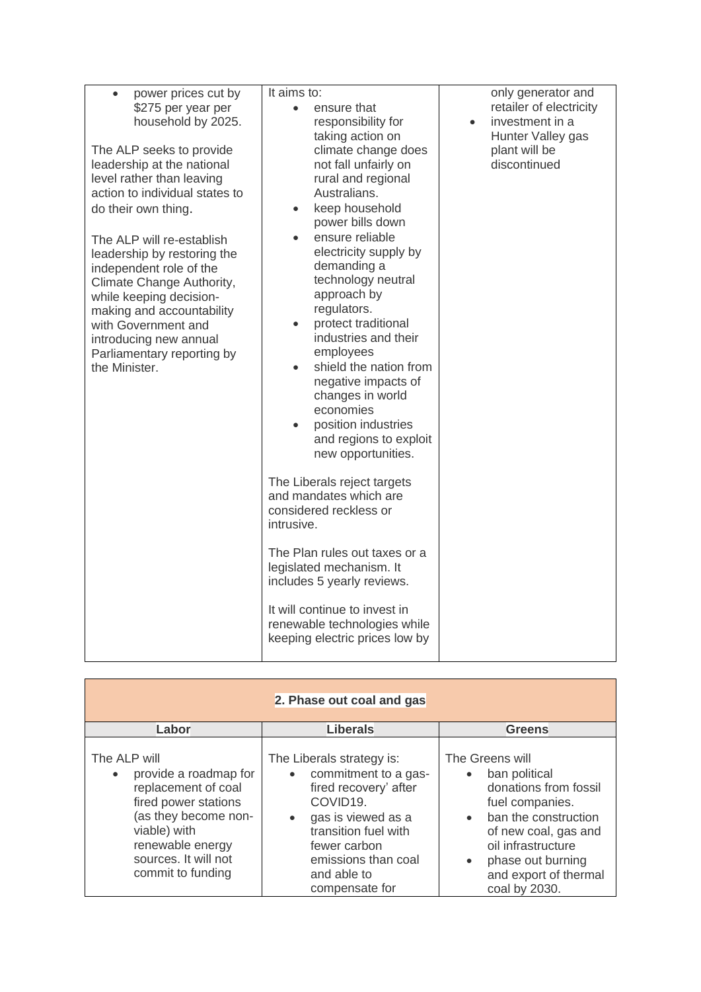| power prices cut by<br>\$275 per year per<br>household by 2025.<br>The ALP seeks to provide<br>leadership at the national<br>level rather than leaving<br>action to individual states to<br>do their own thing.<br>The ALP will re-establish | It aims to:<br>ensure that<br>$\bullet$<br>responsibility for<br>taking action on<br>climate change does<br>not fall unfairly on<br>rural and regional<br>Australians.<br>keep household<br>$\bullet$<br>power bills down<br>ensure reliable<br>$\bullet$                                                                  | only generator and<br>retailer of electricity<br>investment in a<br>Hunter Valley gas<br>plant will be<br>discontinued |
|----------------------------------------------------------------------------------------------------------------------------------------------------------------------------------------------------------------------------------------------|----------------------------------------------------------------------------------------------------------------------------------------------------------------------------------------------------------------------------------------------------------------------------------------------------------------------------|------------------------------------------------------------------------------------------------------------------------|
| leadership by restoring the<br>independent role of the<br>Climate Change Authority,<br>while keeping decision-<br>making and accountability<br>with Government and<br>introducing new annual<br>Parliamentary reporting by<br>the Minister.  | electricity supply by<br>demanding a<br>technology neutral<br>approach by<br>regulators.<br>protect traditional<br>$\bullet$<br>industries and their<br>employees<br>shield the nation from<br>negative impacts of<br>changes in world<br>economies<br>position industries<br>and regions to exploit<br>new opportunities. |                                                                                                                        |
|                                                                                                                                                                                                                                              | The Liberals reject targets<br>and mandates which are<br>considered reckless or<br>intrusive.                                                                                                                                                                                                                              |                                                                                                                        |
|                                                                                                                                                                                                                                              | The Plan rules out taxes or a<br>legislated mechanism. It<br>includes 5 yearly reviews.                                                                                                                                                                                                                                    |                                                                                                                        |
|                                                                                                                                                                                                                                              | It will continue to invest in<br>renewable technologies while<br>keeping electric prices low by                                                                                                                                                                                                                            |                                                                                                                        |

| 2. Phase out coal and gas                                                                                                                                                                                  |                                                                                                                                                                                                              |                                                                                                                                                                                                                                |
|------------------------------------------------------------------------------------------------------------------------------------------------------------------------------------------------------------|--------------------------------------------------------------------------------------------------------------------------------------------------------------------------------------------------------------|--------------------------------------------------------------------------------------------------------------------------------------------------------------------------------------------------------------------------------|
| Labor                                                                                                                                                                                                      | <b>Liberals</b>                                                                                                                                                                                              | <b>Greens</b>                                                                                                                                                                                                                  |
| The ALP will<br>provide a roadmap for<br>$\bullet$<br>replacement of coal<br>fired power stations<br>(as they become non-<br>viable) with<br>renewable energy<br>sources. It will not<br>commit to funding | The Liberals strategy is:<br>commitment to a gas-<br>fired recovery' after<br>COVID19.<br>gas is viewed as a<br>transition fuel with<br>fewer carbon<br>emissions than coal<br>and able to<br>compensate for | The Greens will<br>ban political<br>donations from fossil<br>fuel companies.<br>ban the construction<br>$\bullet$<br>of new coal, gas and<br>oil infrastructure<br>phase out burning<br>and export of thermal<br>coal by 2030. |

Ť.

 $\blacksquare$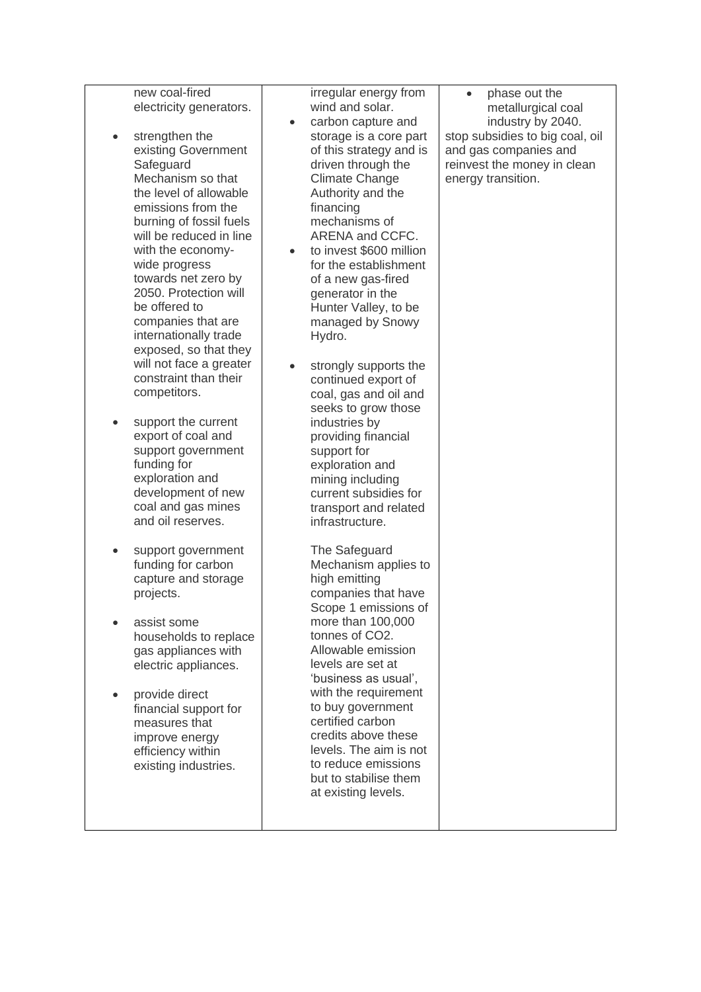| electricity generators.<br>strengthen the<br>$\bullet$<br>existing Government<br>Safeguard<br>Mechanism so that<br>the level of allowable<br>emissions from the<br>burning of fossil fuels<br>will be reduced in line<br>with the economy-<br>wide progress<br>towards net zero by<br>2050. Protection will<br>be offered to<br>companies that are<br>internationally trade<br>exposed, so that they<br>will not face a greater<br>constraint than their<br>competitors.<br>support the current<br>$\bullet$<br>export of coal and<br>support government<br>funding for<br>exploration and<br>development of new<br>coal and gas mines<br>and oil reserves. | irregular energy from<br>wind and solar.<br>carbon capture and<br>$\bullet$<br>storage is a core part<br>of this strategy and is<br>driven through the<br><b>Climate Change</b><br>Authority and the<br>financing<br>mechanisms of<br>ARENA and CCFC.<br>to invest \$600 million<br>$\bullet$<br>for the establishment<br>of a new gas-fired<br>generator in the<br>Hunter Valley, to be<br>managed by Snowy<br>Hydro.<br>strongly supports the<br>$\bullet$<br>continued export of<br>coal, gas and oil and<br>seeks to grow those<br>industries by<br>providing financial<br>support for<br>exploration and<br>mining including<br>current subsidies for<br>transport and related<br>infrastructure. | phase out the<br>metallurgical coal<br>industry by 2040.<br>stop subsidies to big coal, oil<br>and gas companies and<br>reinvest the money in clean<br>energy transition. |
|-------------------------------------------------------------------------------------------------------------------------------------------------------------------------------------------------------------------------------------------------------------------------------------------------------------------------------------------------------------------------------------------------------------------------------------------------------------------------------------------------------------------------------------------------------------------------------------------------------------------------------------------------------------|--------------------------------------------------------------------------------------------------------------------------------------------------------------------------------------------------------------------------------------------------------------------------------------------------------------------------------------------------------------------------------------------------------------------------------------------------------------------------------------------------------------------------------------------------------------------------------------------------------------------------------------------------------------------------------------------------------|---------------------------------------------------------------------------------------------------------------------------------------------------------------------------|
| support government<br>$\bullet$<br>funding for carbon<br>capture and storage<br>projects.<br>assist some<br>households to replace<br>gas appliances with<br>electric appliances.<br>provide direct<br>$\bullet$<br>financial support for<br>measures that<br>improve energy<br>efficiency within<br>existing industries.                                                                                                                                                                                                                                                                                                                                    | The Safeguard<br>Mechanism applies to<br>high emitting<br>companies that have<br>Scope 1 emissions of<br>more than 100,000<br>tonnes of CO2.<br>Allowable emission<br>levels are set at<br>'business as usual',<br>with the requirement<br>to buy government<br>certified carbon<br>credits above these<br>levels. The aim is not<br>to reduce emissions<br>but to stabilise them<br>at existing levels.                                                                                                                                                                                                                                                                                               |                                                                                                                                                                           |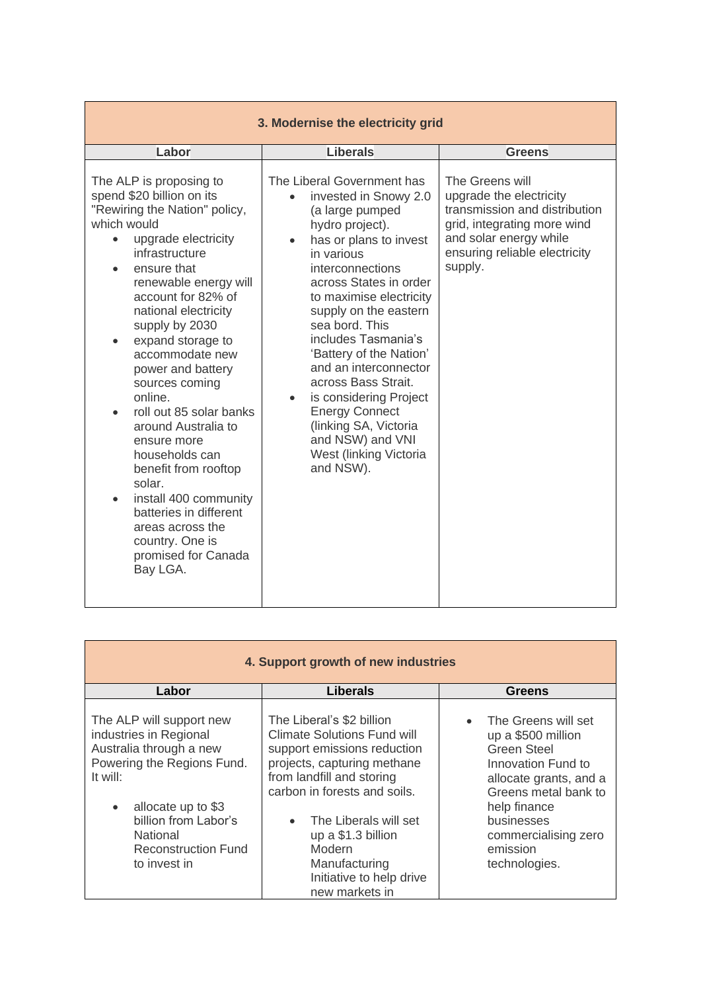| 3. Modernise the electricity grid                                                                                                                                                                                                                                                                                                                                                                                                                                                                                                                                                                                                        |                                                                                                                                                                                                                                                                                                                                                                                                                                                                                                |                                                                                                                                                                                  |
|------------------------------------------------------------------------------------------------------------------------------------------------------------------------------------------------------------------------------------------------------------------------------------------------------------------------------------------------------------------------------------------------------------------------------------------------------------------------------------------------------------------------------------------------------------------------------------------------------------------------------------------|------------------------------------------------------------------------------------------------------------------------------------------------------------------------------------------------------------------------------------------------------------------------------------------------------------------------------------------------------------------------------------------------------------------------------------------------------------------------------------------------|----------------------------------------------------------------------------------------------------------------------------------------------------------------------------------|
| Labor                                                                                                                                                                                                                                                                                                                                                                                                                                                                                                                                                                                                                                    | <b>Liberals</b>                                                                                                                                                                                                                                                                                                                                                                                                                                                                                | <b>Greens</b>                                                                                                                                                                    |
| The ALP is proposing to<br>spend \$20 billion on its<br>"Rewiring the Nation" policy,<br>which would<br>upgrade electricity<br>$\bullet$<br>infrastructure<br>ensure that<br>renewable energy will<br>account for 82% of<br>national electricity<br>supply by 2030<br>expand storage to<br>$\bullet$<br>accommodate new<br>power and battery<br>sources coming<br>online.<br>roll out 85 solar banks<br>around Australia to<br>ensure more<br>households can<br>benefit from rooftop<br>solar.<br>install 400 community<br>$\bullet$<br>batteries in different<br>areas across the<br>country. One is<br>promised for Canada<br>Bay LGA. | The Liberal Government has<br>invested in Snowy 2.0<br>(a large pumped<br>hydro project).<br>has or plans to invest<br>in various<br>interconnections<br>across States in order<br>to maximise electricity<br>supply on the eastern<br>sea bord. This<br>includes Tasmania's<br>'Battery of the Nation'<br>and an interconnector<br>across Bass Strait.<br>is considering Project<br><b>Energy Connect</b><br>(linking SA, Victoria<br>and NSW) and VNI<br>West (linking Victoria<br>and NSW). | The Greens will<br>upgrade the electricity<br>transmission and distribution<br>grid, integrating more wind<br>and solar energy while<br>ensuring reliable electricity<br>supply. |

| 4. Support growth of new industries                                                                                                                                                                                                          |                                                                                                                                                                                                                                                                                                                     |                                                                                                                                                                                                                     |
|----------------------------------------------------------------------------------------------------------------------------------------------------------------------------------------------------------------------------------------------|---------------------------------------------------------------------------------------------------------------------------------------------------------------------------------------------------------------------------------------------------------------------------------------------------------------------|---------------------------------------------------------------------------------------------------------------------------------------------------------------------------------------------------------------------|
| Labor                                                                                                                                                                                                                                        | <b>Liberals</b>                                                                                                                                                                                                                                                                                                     | <b>Greens</b>                                                                                                                                                                                                       |
| The ALP will support new<br>industries in Regional<br>Australia through a new<br>Powering the Regions Fund.<br>It will:<br>allocate up to \$3<br>$\bullet$<br>billion from Labor's<br>National<br><b>Reconstruction Fund</b><br>to invest in | The Liberal's \$2 billion<br><b>Climate Solutions Fund will</b><br>support emissions reduction<br>projects, capturing methane<br>from landfill and storing<br>carbon in forests and soils.<br>The Liberals will set<br>up a $$1.3$ billion<br>Modern<br>Manufacturing<br>Initiative to help drive<br>new markets in | The Greens will set<br>up a \$500 million<br>Green Steel<br>Innovation Fund to<br>allocate grants, and a<br>Greens metal bank to<br>help finance<br>businesses<br>commercialising zero<br>emission<br>technologies. |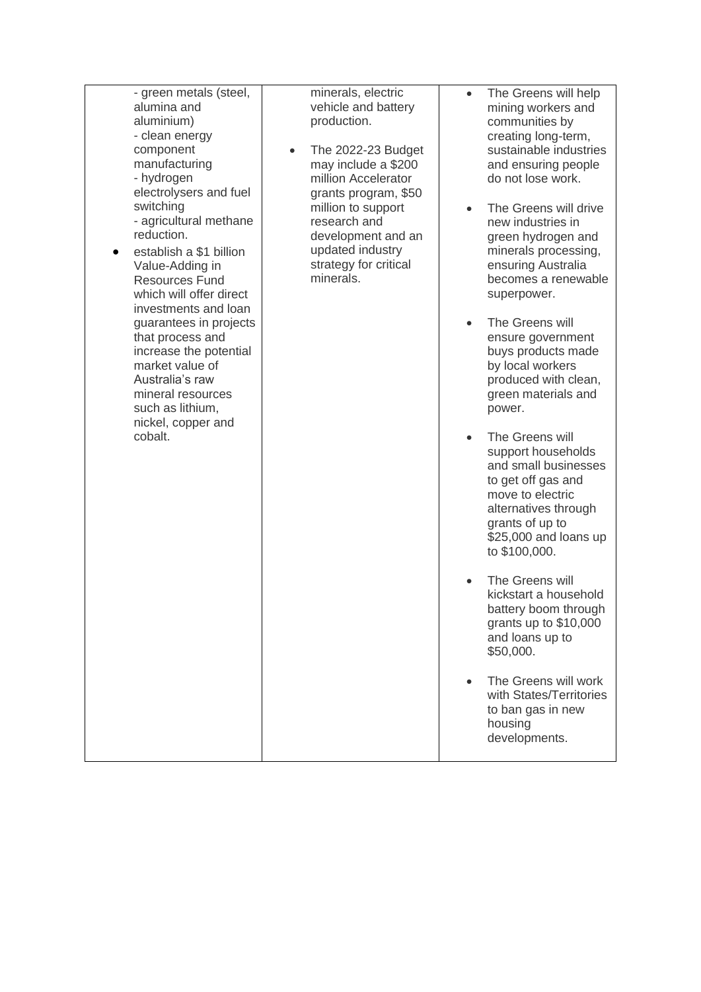| - green metals (steel,<br>alumina and<br>aluminium)<br>- clean energy<br>component<br>manufacturing<br>- hydrogen<br>electrolysers and fuel<br>switching<br>- agricultural methane<br>reduction.<br>establish a \$1 billion<br>Value-Adding in<br><b>Resources Fund</b><br>which will offer direct<br>investments and loan<br>guarantees in projects<br>that process and<br>increase the potential<br>market value of<br>Australia's raw<br>mineral resources<br>such as lithium,<br>nickel, copper and<br>cobalt. | minerals, electric<br>vehicle and battery<br>production.<br>The 2022-23 Budget<br>may include a \$200<br>million Accelerator<br>grants program, \$50<br>million to support<br>research and<br>development and an<br>updated industry<br>strategy for critical<br>minerals. | The Greens will help<br>$\bullet$<br>mining workers and<br>communities by<br>creating long-term,<br>sustainable industries<br>and ensuring people<br>do not lose work.<br>The Greens will drive<br>$\bullet$<br>new industries in<br>green hydrogen and<br>minerals processing,<br>ensuring Australia<br>becomes a renewable<br>superpower.<br>The Greens will<br>$\bullet$<br>ensure government<br>buys products made<br>by local workers<br>produced with clean,<br>green materials and<br>power.<br>The Greens will<br>$\bullet$<br>support households<br>and small businesses |
|--------------------------------------------------------------------------------------------------------------------------------------------------------------------------------------------------------------------------------------------------------------------------------------------------------------------------------------------------------------------------------------------------------------------------------------------------------------------------------------------------------------------|----------------------------------------------------------------------------------------------------------------------------------------------------------------------------------------------------------------------------------------------------------------------------|-----------------------------------------------------------------------------------------------------------------------------------------------------------------------------------------------------------------------------------------------------------------------------------------------------------------------------------------------------------------------------------------------------------------------------------------------------------------------------------------------------------------------------------------------------------------------------------|
|                                                                                                                                                                                                                                                                                                                                                                                                                                                                                                                    |                                                                                                                                                                                                                                                                            | to get off gas and<br>move to electric<br>alternatives through<br>grants of up to<br>\$25,000 and loans up<br>to \$100,000.                                                                                                                                                                                                                                                                                                                                                                                                                                                       |
|                                                                                                                                                                                                                                                                                                                                                                                                                                                                                                                    |                                                                                                                                                                                                                                                                            | The Greens will<br>$\bullet$<br>kickstart a household<br>battery boom through<br>grants up to \$10,000<br>and loans up to<br>\$50,000.                                                                                                                                                                                                                                                                                                                                                                                                                                            |
|                                                                                                                                                                                                                                                                                                                                                                                                                                                                                                                    |                                                                                                                                                                                                                                                                            | The Greens will work<br>$\bullet$<br>with States/Territories<br>to ban gas in new<br>housing<br>developments.                                                                                                                                                                                                                                                                                                                                                                                                                                                                     |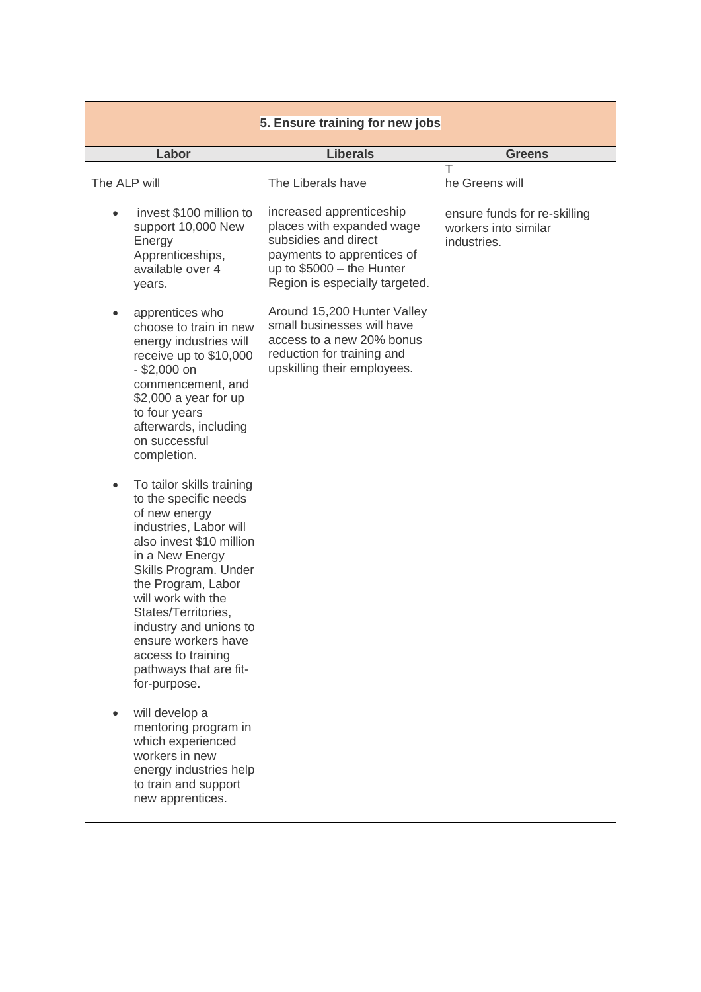| 5. Ensure training for new jobs                                                                                                                                                                                                                                                                                                                                        |                                                                                                                                                                             |                                                                     |
|------------------------------------------------------------------------------------------------------------------------------------------------------------------------------------------------------------------------------------------------------------------------------------------------------------------------------------------------------------------------|-----------------------------------------------------------------------------------------------------------------------------------------------------------------------------|---------------------------------------------------------------------|
| Labor                                                                                                                                                                                                                                                                                                                                                                  | <b>Liberals</b>                                                                                                                                                             | <b>Greens</b>                                                       |
| The ALP will                                                                                                                                                                                                                                                                                                                                                           | The Liberals have                                                                                                                                                           | Τ<br>he Greens will                                                 |
| invest \$100 million to<br>support 10,000 New<br>Energy<br>Apprenticeships,<br>available over 4<br>years.                                                                                                                                                                                                                                                              | increased apprenticeship<br>places with expanded wage<br>subsidies and direct<br>payments to apprentices of<br>up to $$5000 -$ the Hunter<br>Region is especially targeted. | ensure funds for re-skilling<br>workers into similar<br>industries. |
| apprentices who<br>choose to train in new<br>energy industries will<br>receive up to \$10,000<br>$-$ \$2,000 on<br>commencement, and<br>$$2,000$ a year for up<br>to four years<br>afterwards, including<br>on successful<br>completion.                                                                                                                               | Around 15,200 Hunter Valley<br>small businesses will have<br>access to a new 20% bonus<br>reduction for training and<br>upskilling their employees.                         |                                                                     |
| To tailor skills training<br>$\bullet$<br>to the specific needs<br>of new energy<br>industries, Labor will<br>also invest \$10 million<br>in a New Energy<br>Skills Program. Under<br>the Program, Labor<br>will work with the<br>States/Territories,<br>industry and unions to<br>ensure workers have<br>access to training<br>pathways that are fit-<br>for-purpose. |                                                                                                                                                                             |                                                                     |
| will develop a<br>mentoring program in<br>which experienced<br>workers in new<br>energy industries help<br>to train and support<br>new apprentices.                                                                                                                                                                                                                    |                                                                                                                                                                             |                                                                     |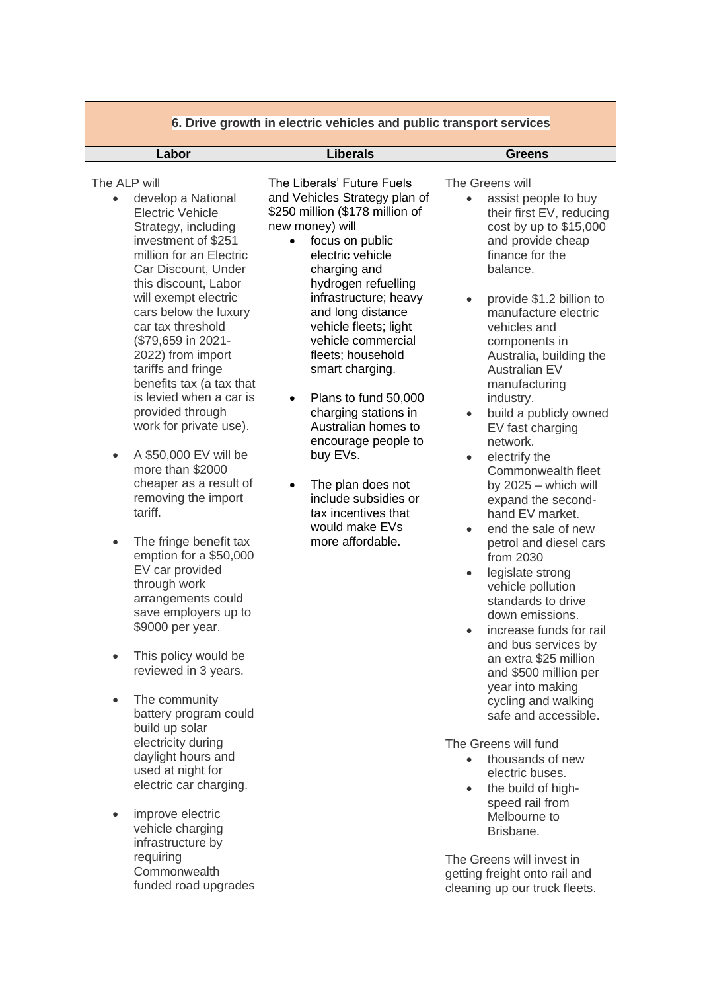| 6. Drive growth in electric vehicles and public transport services                                                                                                                                                                                                                                                                                                                                                                                                                                                                                                                                                                                                                                                                                                                                                                                                                                                                                                                                                                        |                                                                                                                                                                                                                                                                                                                                                                                                                                                                                                                                                                                                 |                                                                                                                                                                                                                                                                                                                                                                                                                                                                                                                                                                                                                                                                                                                                                                                                                                                                                                                                                                                                                                                                                                                                      |
|-------------------------------------------------------------------------------------------------------------------------------------------------------------------------------------------------------------------------------------------------------------------------------------------------------------------------------------------------------------------------------------------------------------------------------------------------------------------------------------------------------------------------------------------------------------------------------------------------------------------------------------------------------------------------------------------------------------------------------------------------------------------------------------------------------------------------------------------------------------------------------------------------------------------------------------------------------------------------------------------------------------------------------------------|-------------------------------------------------------------------------------------------------------------------------------------------------------------------------------------------------------------------------------------------------------------------------------------------------------------------------------------------------------------------------------------------------------------------------------------------------------------------------------------------------------------------------------------------------------------------------------------------------|--------------------------------------------------------------------------------------------------------------------------------------------------------------------------------------------------------------------------------------------------------------------------------------------------------------------------------------------------------------------------------------------------------------------------------------------------------------------------------------------------------------------------------------------------------------------------------------------------------------------------------------------------------------------------------------------------------------------------------------------------------------------------------------------------------------------------------------------------------------------------------------------------------------------------------------------------------------------------------------------------------------------------------------------------------------------------------------------------------------------------------------|
| Labor                                                                                                                                                                                                                                                                                                                                                                                                                                                                                                                                                                                                                                                                                                                                                                                                                                                                                                                                                                                                                                     | <b>Liberals</b>                                                                                                                                                                                                                                                                                                                                                                                                                                                                                                                                                                                 | <b>Greens</b>                                                                                                                                                                                                                                                                                                                                                                                                                                                                                                                                                                                                                                                                                                                                                                                                                                                                                                                                                                                                                                                                                                                        |
| The ALP will<br>develop a National<br><b>Electric Vehicle</b><br>Strategy, including<br>investment of \$251<br>million for an Electric<br>Car Discount, Under<br>this discount, Labor<br>will exempt electric<br>cars below the luxury<br>car tax threshold<br>(\$79,659 in 2021-<br>2022) from import<br>tariffs and fringe<br>benefits tax (a tax that<br>is levied when a car is<br>provided through<br>work for private use).<br>A \$50,000 EV will be<br>more than \$2000<br>cheaper as a result of<br>removing the import<br>tariff.<br>The fringe benefit tax<br>$\bullet$<br>emption for a \$50,000<br>EV car provided<br>through work<br>arrangements could<br>save employers up to<br>\$9000 per year.<br>This policy would be<br>reviewed in 3 years.<br>The community<br>battery program could<br>build up solar<br>electricity during<br>daylight hours and<br>used at night for<br>electric car charging.<br>improve electric<br>vehicle charging<br>infrastructure by<br>requiring<br>Commonwealth<br>funded road upgrades | The Liberals' Future Fuels<br>and Vehicles Strategy plan of<br>\$250 million (\$178 million of<br>new money) will<br>focus on public<br>$\bullet$<br>electric vehicle<br>charging and<br>hydrogen refuelling<br>infrastructure; heavy<br>and long distance<br>vehicle fleets; light<br>vehicle commercial<br>fleets; household<br>smart charging.<br>Plans to fund 50,000<br>$\bullet$<br>charging stations in<br>Australian homes to<br>encourage people to<br>buy EVs.<br>The plan does not<br>$\bullet$<br>include subsidies or<br>tax incentives that<br>would make EVs<br>more affordable. | The Greens will<br>assist people to buy<br>their first EV, reducing<br>cost by up to \$15,000<br>and provide cheap<br>finance for the<br>balance.<br>provide \$1.2 billion to<br>$\bullet$<br>manufacture electric<br>vehicles and<br>components in<br>Australia, building the<br><b>Australian EV</b><br>manufacturing<br>industry.<br>build a publicly owned<br>$\bullet$<br>EV fast charging<br>network.<br>electrify the<br>$\bullet$<br>Commonwealth fleet<br>by $2025 -$ which will<br>expand the second-<br>hand EV market.<br>end the sale of new<br>$\bullet$<br>petrol and diesel cars<br>from 2030<br>legislate strong<br>$\bullet$<br>vehicle pollution<br>standards to drive<br>down emissions.<br>increase funds for rail<br>and bus services by<br>an extra \$25 million<br>and \$500 million per<br>year into making<br>cycling and walking<br>safe and accessible.<br>The Greens will fund<br>thousands of new<br>electric buses.<br>the build of high-<br>$\bullet$<br>speed rail from<br>Melbourne to<br>Brisbane.<br>The Greens will invest in<br>getting freight onto rail and<br>cleaning up our truck fleets. |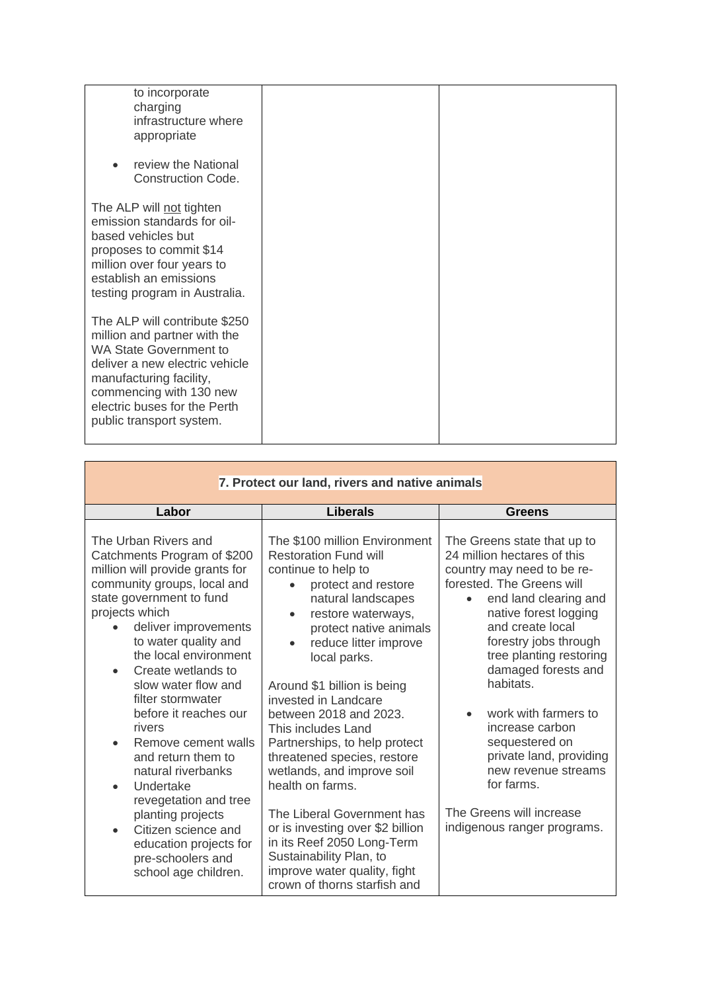| to incorporate<br>charging<br>infrastructure where<br>appropriate                                                                                                                                                                                  |  |
|----------------------------------------------------------------------------------------------------------------------------------------------------------------------------------------------------------------------------------------------------|--|
| review the National<br>$\bullet$<br><b>Construction Code.</b>                                                                                                                                                                                      |  |
| The ALP will not tighten<br>emission standards for oil-<br>based vehicles but<br>proposes to commit \$14<br>million over four years to<br>establish an emissions<br>testing program in Australia.                                                  |  |
| The ALP will contribute \$250<br>million and partner with the<br><b>WA State Government to</b><br>deliver a new electric vehicle<br>manufacturing facility,<br>commencing with 130 new<br>electric buses for the Perth<br>public transport system. |  |

 $\mathcal{L}^{\mathcal{L}}(\mathcal{L}^{\mathcal{L}}(\mathcal{L}^{\mathcal{L}}(\mathcal{L}^{\mathcal{L}}(\mathcal{L}^{\mathcal{L}}(\mathcal{L}^{\mathcal{L}}(\mathcal{L}^{\mathcal{L}}(\mathcal{L}^{\mathcal{L}}(\mathcal{L}^{\mathcal{L}}(\mathcal{L}^{\mathcal{L}}(\mathcal{L}^{\mathcal{L}}(\mathcal{L}^{\mathcal{L}}(\mathcal{L}^{\mathcal{L}}(\mathcal{L}^{\mathcal{L}}(\mathcal{L}^{\mathcal{L}}(\mathcal{L}^{\mathcal{L}}(\mathcal{L}^{\mathcal{L$ 

| 7. Protect our land, rivers and native animals                                                                                                                                                                                                                                                                                                                                                                                                                                                                                                                                             |                                                                                                                                                                                                                                                                                                                                                                                                                                                                                                                                                                                                                                                |                                                                                                                                                                                                                                                                                                                                                                                                                                                                             |
|--------------------------------------------------------------------------------------------------------------------------------------------------------------------------------------------------------------------------------------------------------------------------------------------------------------------------------------------------------------------------------------------------------------------------------------------------------------------------------------------------------------------------------------------------------------------------------------------|------------------------------------------------------------------------------------------------------------------------------------------------------------------------------------------------------------------------------------------------------------------------------------------------------------------------------------------------------------------------------------------------------------------------------------------------------------------------------------------------------------------------------------------------------------------------------------------------------------------------------------------------|-----------------------------------------------------------------------------------------------------------------------------------------------------------------------------------------------------------------------------------------------------------------------------------------------------------------------------------------------------------------------------------------------------------------------------------------------------------------------------|
| Labor                                                                                                                                                                                                                                                                                                                                                                                                                                                                                                                                                                                      | <b>Liberals</b>                                                                                                                                                                                                                                                                                                                                                                                                                                                                                                                                                                                                                                | Greens                                                                                                                                                                                                                                                                                                                                                                                                                                                                      |
| The Urban Rivers and<br>Catchments Program of \$200<br>million will provide grants for<br>community groups, local and<br>state government to fund<br>projects which<br>deliver improvements<br>to water quality and<br>the local environment<br>Create wetlands to<br>slow water flow and<br>filter stormwater<br>before it reaches our<br>rivers<br>Remove cement walls<br>$\bullet$<br>and return them to<br>natural riverbanks<br>Undertake<br>revegetation and tree<br>planting projects<br>Citizen science and<br>education projects for<br>pre-schoolers and<br>school age children. | The \$100 million Environment<br><b>Restoration Fund will</b><br>continue to help to<br>protect and restore<br>natural landscapes<br>restore waterways,<br>protect native animals<br>reduce litter improve<br>local parks.<br>Around \$1 billion is being<br>invested in Landcare<br>between 2018 and 2023.<br>This includes Land<br>Partnerships, to help protect<br>threatened species, restore<br>wetlands, and improve soil<br>health on farms.<br>The Liberal Government has<br>or is investing over \$2 billion<br>in its Reef 2050 Long-Term<br>Sustainability Plan, to<br>improve water quality, fight<br>crown of thorns starfish and | The Greens state that up to<br>24 million hectares of this<br>country may need to be re-<br>forested. The Greens will<br>end land clearing and<br>native forest logging<br>and create local<br>forestry jobs through<br>tree planting restoring<br>damaged forests and<br>habitats.<br>work with farmers to<br>increase carbon<br>sequestered on<br>private land, providing<br>new revenue streams<br>for farms.<br>The Greens will increase<br>indigenous ranger programs. |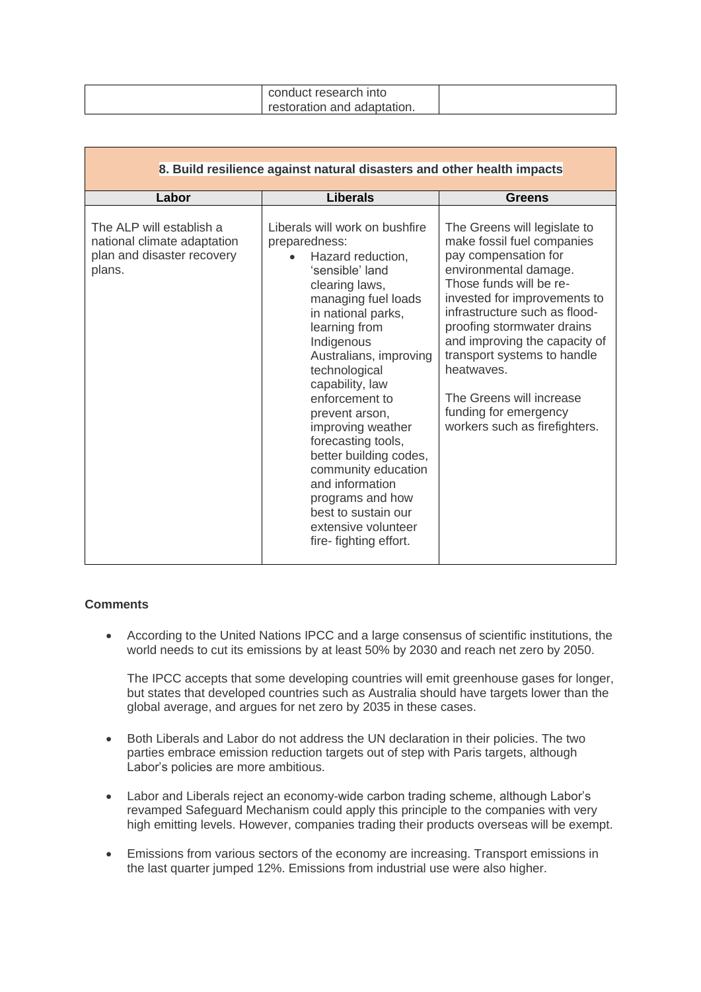| conduct research into       |  |
|-----------------------------|--|
| restoration and adaptation. |  |

| 8. Build resilience against natural disasters and other health impacts                          |                                                                                                                                                                                                                                                                                                                                                                                                                                                                                                   |                                                                                                                                                                                                                                                                                                                                                                                                           |
|-------------------------------------------------------------------------------------------------|---------------------------------------------------------------------------------------------------------------------------------------------------------------------------------------------------------------------------------------------------------------------------------------------------------------------------------------------------------------------------------------------------------------------------------------------------------------------------------------------------|-----------------------------------------------------------------------------------------------------------------------------------------------------------------------------------------------------------------------------------------------------------------------------------------------------------------------------------------------------------------------------------------------------------|
| Labor                                                                                           | <b>Liberals</b>                                                                                                                                                                                                                                                                                                                                                                                                                                                                                   | <b>Greens</b>                                                                                                                                                                                                                                                                                                                                                                                             |
| The ALP will establish a<br>national climate adaptation<br>plan and disaster recovery<br>plans. | Liberals will work on bushfire<br>preparedness:<br>Hazard reduction,<br>'sensible' land<br>clearing laws,<br>managing fuel loads<br>in national parks,<br>learning from<br>Indigenous<br>Australians, improving<br>technological<br>capability, law<br>enforcement to<br>prevent arson,<br>improving weather<br>forecasting tools,<br>better building codes,<br>community education<br>and information<br>programs and how<br>best to sustain our<br>extensive volunteer<br>fire-fighting effort. | The Greens will legislate to<br>make fossil fuel companies<br>pay compensation for<br>environmental damage.<br>Those funds will be re-<br>invested for improvements to<br>infrastructure such as flood-<br>proofing stormwater drains<br>and improving the capacity of<br>transport systems to handle<br>heatwaves.<br>The Greens will increase<br>funding for emergency<br>workers such as firefighters. |

## **Comments**

• According to the United Nations IPCC and a large consensus of scientific institutions, the world needs to cut its emissions by at least 50% by 2030 and reach net zero by 2050.

The IPCC accepts that some developing countries will emit greenhouse gases for longer, but states that developed countries such as Australia should have targets lower than the global average, and argues for net zero by 2035 in these cases.

- Both Liberals and Labor do not address the UN declaration in their policies. The two parties embrace emission reduction targets out of step with Paris targets, although Labor's policies are more ambitious.
- Labor and Liberals reject an economy-wide carbon trading scheme, although Labor's revamped Safeguard Mechanism could apply this principle to the companies with very high emitting levels. However, companies trading their products overseas will be exempt.
- Emissions from various sectors of the economy are increasing. Transport emissions in the last quarter jumped 12%. Emissions from industrial use were also higher.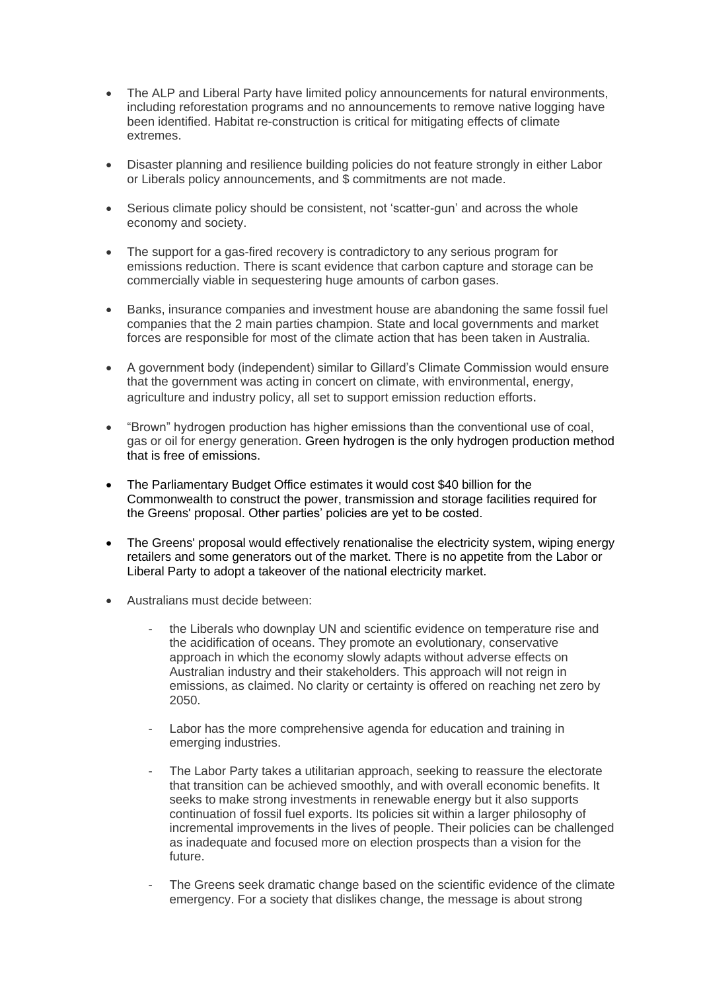- The ALP and Liberal Party have limited policy announcements for natural environments, including reforestation programs and no announcements to remove native logging have been identified. Habitat re-construction is critical for mitigating effects of climate extremes.
- Disaster planning and resilience building policies do not feature strongly in either Labor or Liberals policy announcements, and \$ commitments are not made.
- Serious climate policy should be consistent, not 'scatter-gun' and across the whole economy and society.
- The support for a gas-fired recovery is contradictory to any serious program for emissions reduction. There is scant evidence that carbon capture and storage can be commercially viable in sequestering huge amounts of carbon gases.
- Banks, insurance companies and investment house are abandoning the same fossil fuel companies that the 2 main parties champion. State and local governments and market forces are responsible for most of the climate action that has been taken in Australia.
- A government body (independent) similar to Gillard's Climate Commission would ensure that the government was acting in concert on climate, with environmental, energy, agriculture and industry policy, all set to support emission reduction efforts.
- "Brown" hydrogen production has higher emissions than the conventional use of coal, gas or oil for energy generation. Green hydrogen is the only hydrogen production method that is free of emissions.
- The Parliamentary Budget Office estimates it would cost \$40 billion for the Commonwealth to construct the power, transmission and storage facilities required for the Greens' proposal. Other parties' policies are yet to be costed.
- The Greens' proposal would effectively renationalise the electricity system, wiping energy retailers and some generators out of the market. There is no appetite from the Labor or Liberal Party to adopt a takeover of the national electricity market.
- Australians must decide between:
	- the Liberals who downplay UN and scientific evidence on temperature rise and the acidification of oceans. They promote an evolutionary, conservative approach in which the economy slowly adapts without adverse effects on Australian industry and their stakeholders. This approach will not reign in emissions, as claimed. No clarity or certainty is offered on reaching net zero by 2050.
	- Labor has the more comprehensive agenda for education and training in emerging industries.
	- The Labor Party takes a utilitarian approach, seeking to reassure the electorate that transition can be achieved smoothly, and with overall economic benefits. It seeks to make strong investments in renewable energy but it also supports continuation of fossil fuel exports. Its policies sit within a larger philosophy of incremental improvements in the lives of people. Their policies can be challenged as inadequate and focused more on election prospects than a vision for the future.
	- The Greens seek dramatic change based on the scientific evidence of the climate emergency. For a society that dislikes change, the message is about strong